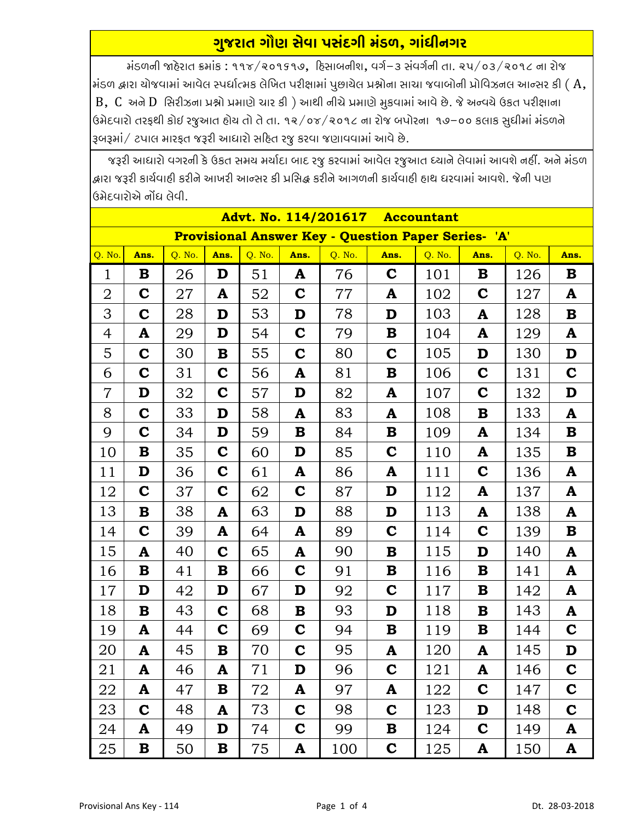## ગુજરાત ગૌણ સેવા પસંદગી મંડળ, ગાંધીનગર

મંડળની જાહેરાત ક્રમાંક: ૧૧૪/૨૦૧૬૧૭, દિસાબનીશ, વર્ગ-૩ સંવર્ગની તા. ૨૫/૦૩/૨૦૧૮ ના રોજ  $\vert$ મંડળ દ્વારા યોજવામાં આવેલ સ્પર્ધાત્મક લેખિત પરીક્ષામાં પુછાયેલ પ્રશ્નોના સાચા જવાબોની પ્રોવિઝનલ આન્સર કી (  $\rm A$ ,  $B$ ,  $C$  અને  $D$  સિરીઝના પ્રશ્નો પ્રમાણે ચાર કી) આથી નીચે પ્રમાણે મુકવામાં આવે છે. જે અન્વચે ઉકત પરીક્ષાના ઉમેદવારો તરફથી કોઈ રજૂઆત હોય તો તે તા. ૧૨/૦૪/૨૦૧૮ ના રોજ બપોરના ૧૭–૦૦ કલાક સુધીમાં મંડળને રૂબરૂમાં/ ટપાલ મારફત જરૂરી આધારો સહિત રજુ કરવા જણાવવામાં આવે છે.

જરૂરી આધારો વગરની કે ઉકત સમય મર્યાદા બાદ રજુ કરવામાં આવેલ રજુઆત ધ્યાને લેવામાં આવશે નહીં. અને મંડળ શ્રારા જરૂરી કાર્યવાહી કરીને આખરી આન્સર કી પ્રસિદ્ધ કરીને આગળની કાર્યવાહી હાથ ધરવામાં આવશે. જેની પણ ઉમેદવારોએ નોંધ લેવી.

| Advt. No. 114/201617 Accountant                            |             |        |             |        |             |        |              |        |             |        |             |  |  |
|------------------------------------------------------------|-------------|--------|-------------|--------|-------------|--------|--------------|--------|-------------|--------|-------------|--|--|
| <b>Provisional Answer Key - Question Paper Series- 'A'</b> |             |        |             |        |             |        |              |        |             |        |             |  |  |
| Q. No.                                                     | Ans.        | Q. No. | Ans.        | Q. No. | Ans.        | Q. No. | Ans.         | Q. No. | Ans.        | Q. No. | Ans.        |  |  |
| $\mathbf{1}$                                               | B           | 26     | D           | 51     | A           | 76     | $\mathbf C$  | 101    | B           | 126    | B           |  |  |
| $\overline{2}$                                             | $\mathbf C$ | 27     | A           | 52     | $\mathbf C$ | 77     | A            | 102    | $\mathbf C$ | 127    | A           |  |  |
| 3                                                          | $\mathbf C$ | 28     | D           | 53     | D           | 78     | D            | 103    | A           | 128    | $\bf{B}$    |  |  |
| $\overline{4}$                                             | A           | 29     | D           | 54     | $\mathbf C$ | 79     | $\bf{B}$     | 104    | A           | 129    | A           |  |  |
| 5                                                          | $\mathbf C$ | 30     | ${\bf B}$   | 55     | $\mathbf C$ | 80     | $\mathbf C$  | 105    | D           | 130    | D           |  |  |
| 6                                                          | $\mathbf C$ | 31     | $\mathbf C$ | 56     | A           | 81     | $\bf{B}$     | 106    | $\mathbf C$ | 131    | $\mathbf C$ |  |  |
| $\overline{7}$                                             | D           | 32     | $\mathbf C$ | 57     | D           | 82     | ${\bf A}$    | 107    | $\mathbf C$ | 132    | D           |  |  |
| 8                                                          | $\mathbf C$ | 33     | D           | 58     | A           | 83     | A            | 108    | $\bf{B}$    | 133    | ${\bf A}$   |  |  |
| 9                                                          | $\mathbf C$ | 34     | D           | 59     | $\bf{B}$    | 84     | $\bf{B}$     | 109    | A           | 134    | $\bf{B}$    |  |  |
| 10                                                         | $\bf{B}$    | 35     | $\mathbf C$ | 60     | D           | 85     | $\mathbf C$  | 110    | A           | 135    | $\bf{B}$    |  |  |
| 11                                                         | D           | 36     | $\mathbf C$ | 61     | ${\bf A}$   | 86     | A            | 111    | $\mathbf C$ | 136    | A           |  |  |
| 12                                                         | $\mathbf C$ | 37     | $\mathbf C$ | 62     | $\mathbf C$ | 87     | D            | 112    | A           | 137    | A           |  |  |
| 13                                                         | $\bf{B}$    | 38     | ${\bf A}$   | 63     | D           | 88     | D            | 113    | A           | 138    | ${\bf A}$   |  |  |
| 14                                                         | $\mathbf C$ | 39     | A           | 64     | A           | 89     | $\mathbf C$  | 114    | $\mathbf C$ | 139    | $\bf{B}$    |  |  |
| 15                                                         | A           | 40     | $\mathbf C$ | 65     | A           | 90     | $\mathbf{B}$ | 115    | D           | 140    | ${\bf A}$   |  |  |
| 16                                                         | $\bf{B}$    | 41     | $\bf{B}$    | 66     | $\mathbf C$ | 91     | $\bf{B}$     | 116    | B           | 141    | ${\bf A}$   |  |  |
| 17                                                         | D           | 42     | D           | 67     | D           | 92     | $\mathbf C$  | 117    | B           | 142    | A           |  |  |
| 18                                                         | $\bf{B}$    | 43     | $\mathbf C$ | 68     | $\bf{B}$    | 93     | D            | 118    | B           | 143    | A           |  |  |
| 19                                                         | A           | 44     | $\mathbf C$ | 69     | $\mathbf C$ | 94     | B            | 119    | B           | 144    | $\mathbf C$ |  |  |
| 20                                                         | A           | 45     | ${\bf B}$   | 70     | $\mathbf C$ | 95     | A            | 120    | A           | 145    | D           |  |  |
| 21                                                         | A           | 46     | A           | 71     | D           | 96     | $\mathbf C$  | 121    | A           | 146    | $\mathbf C$ |  |  |
| 22                                                         | A           | 47     | B           | 72     | A           | 97     | A            | 122    | $\mathbf c$ | 147    | $\mathbf C$ |  |  |
| 23                                                         | $\mathbf C$ | 48     | A           | 73     | $\mathbf C$ | 98     | $\mathbf C$  | 123    | D           | 148    | $\mathbf C$ |  |  |
| 24                                                         | A           | 49     | D           | 74     | $\mathbf C$ | 99     | B            | 124    | $\mathbf C$ | 149    | A           |  |  |
| 25                                                         | B           | 50     | B           | 75     | A           | 100    | $\mathbf C$  | 125    | A           | 150    | A           |  |  |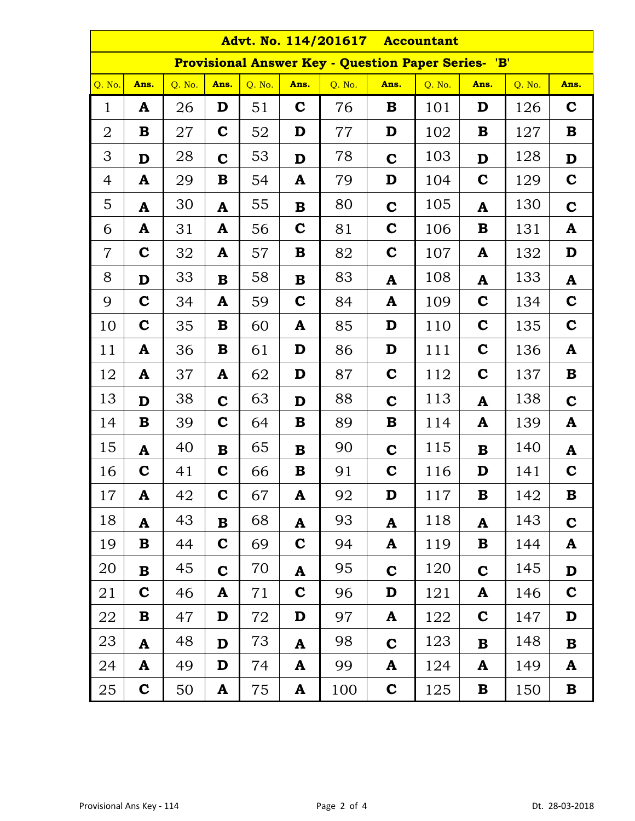| <b>Advt. No. 114/201617</b><br><b>Accountant</b>           |             |        |              |        |              |        |             |        |             |        |              |  |
|------------------------------------------------------------|-------------|--------|--------------|--------|--------------|--------|-------------|--------|-------------|--------|--------------|--|
| <b>Provisional Answer Key - Question Paper Series- 'B'</b> |             |        |              |        |              |        |             |        |             |        |              |  |
| Q. No.                                                     | Ans.        | O. No. | Ans.         | Q. No. | Ans.         | Q. No. | Ans.        | Q. No. | Ans.        | Q. No. | Ans.         |  |
| $\mathbf{1}$                                               | A           | 26     | D            | 51     | $\mathbf C$  | 76     | B           | 101    | D           | 126    | $\mathbf C$  |  |
| 2                                                          | B           | 27     | $\mathbf C$  | 52     | D            | 77     | D           | 102    | B           | 127    | B            |  |
| 3                                                          | D           | 28     | $\mathbf C$  | 53     | D            | 78     | $\mathbf C$ | 103    | D           | 128    | D            |  |
| 4                                                          | A           | 29     | $\bf{B}$     | 54     | A            | 79     | D           | 104    | $\mathbf C$ | 129    | $\mathbf C$  |  |
| 5                                                          | A           | 30     | A            | 55     | $\bf{B}$     | 80     | $\mathbf C$ | 105    | A           | 130    | $\mathbf C$  |  |
| 6                                                          | A           | 31     | A            | 56     | $\mathbf C$  | 81     | $\mathbf C$ | 106    | B           | 131    | A            |  |
| $\overline{7}$                                             | $\mathbf C$ | 32     | A            | 57     | B            | 82     | $\mathbf C$ | 107    | A           | 132    | D            |  |
| 8                                                          | D           | 33     | $\mathbf B$  | 58     | $\bf{B}$     | 83     | A           | 108    | A           | 133    | $\mathbf{A}$ |  |
| 9                                                          | $\mathbf C$ | 34     | A            | 59     | $\mathbf C$  | 84     | A           | 109    | $\mathbf C$ | 134    | $\mathbf C$  |  |
| 10                                                         | $\mathbf C$ | 35     | $\bf{B}$     | 60     | A            | 85     | D           | 110    | $\mathbf C$ | 135    | $\mathbf C$  |  |
| 11                                                         | A           | 36     | $\bf{B}$     | 61     | D            | 86     | D           | 111    | $\mathbf C$ | 136    | $\mathbf{A}$ |  |
| 12                                                         | A           | 37     | A            | 62     | D            | 87     | $\mathbf C$ | 112    | $\mathbf C$ | 137    | B            |  |
| 13                                                         | D           | 38     | $\mathbf C$  | 63     | D            | 88     | $\mathbf C$ | 113    | A           | 138    | $\mathbf C$  |  |
| 14                                                         | $\bf{B}$    | 39     | $\mathbf C$  | 64     | $\bf{B}$     | 89     | $\bf{B}$    | 114    | A           | 139    | A            |  |
| 15                                                         | A           | 40     | $\mathbf{B}$ | 65     | $\bf{B}$     | 90     | $\mathbf C$ | 115    | B           | 140    | A            |  |
| 16                                                         | $\mathbf C$ | 41     | $\mathbf C$  | 66     | B            | 91     | $\mathbf C$ | 116    | D           | 141    | $\mathbf C$  |  |
| 17                                                         | A           | 42     | $\mathbf C$  | 67     | A            | 92     | D           | 117    | B           | 142    | B            |  |
| 18                                                         | A           | 43     | $\mathbf B$  | 68     | A            | 93     | A           | 118    | A           | 143    | $\mathbf C$  |  |
| 19                                                         | B           | 44     | $\mathbf C$  | 69     | $\mathbf C$  | 94     | A           | 119    | B           | 144    | A            |  |
| 20                                                         | $\bf{B}$    | 45     | $\mathbf C$  | 70     | A            | 95     | $\mathbf C$ | 120    | $\mathbf C$ | 145    | D            |  |
| 21                                                         | $\mathbf C$ | 46     | A            | 71     | $\mathbf C$  | 96     | D           | 121    | A           | 146    | $\mathbf C$  |  |
| 22                                                         | $\bf{B}$    | 47     | D            | 72     | D            | 97     | A           | 122    | $\mathbf C$ | 147    | D            |  |
| 23                                                         | A           | 48     | $\mathbf D$  | 73     | $\mathbf{A}$ | 98     | $\mathbf C$ | 123    | $\bf{B}$    | 148    | $\bf{B}$     |  |
| 24                                                         | A           | 49     | D            | 74     | A            | 99     | A           | 124    | A           | 149    | A            |  |
| 25                                                         | $\mathbf C$ | 50     | A            | 75     | A            | 100    | $\mathbf C$ | 125    | B           | 150    | $\mathbf B$  |  |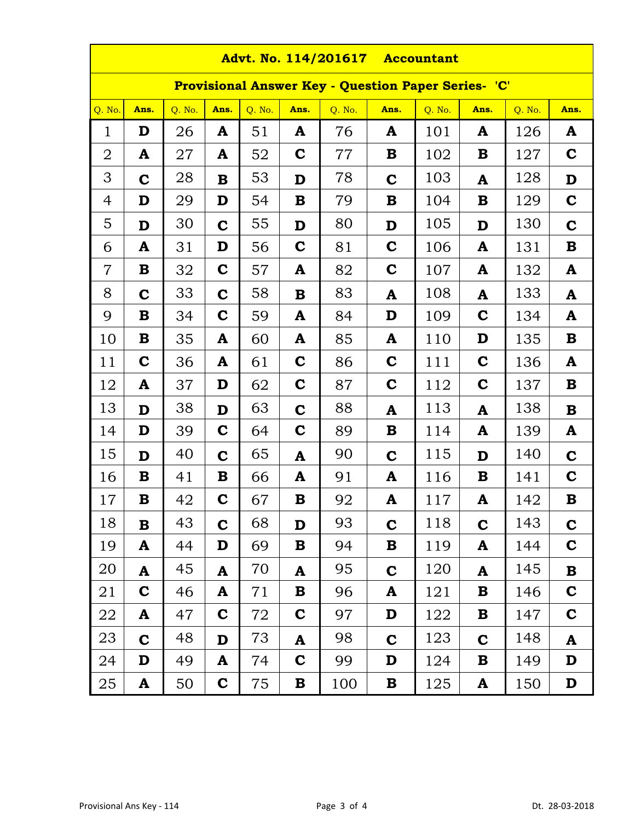| Advt. No. 114/201617 Accountant                            |                                                                                                |    |             |    |             |     |             |     |             |     |             |  |  |
|------------------------------------------------------------|------------------------------------------------------------------------------------------------|----|-------------|----|-------------|-----|-------------|-----|-------------|-----|-------------|--|--|
| <b>Provisional Answer Key - Question Paper Series- 'C'</b> |                                                                                                |    |             |    |             |     |             |     |             |     |             |  |  |
| Q. No.                                                     | Q. No.<br>Q. No.<br>Q. No.<br>Ans.<br>Q. No.<br>Q. No.<br>Ans.<br>Ans.<br>Ans.<br>Ans.<br>Ans. |    |             |    |             |     |             |     |             |     |             |  |  |
| $\mathbf 1$                                                | D                                                                                              | 26 | A           | 51 | A           | 76  | A           | 101 | A           | 126 | A           |  |  |
| 2                                                          | A                                                                                              | 27 | A           | 52 | $\mathbf C$ | 77  | B           | 102 | B           | 127 | $\mathbf C$ |  |  |
| 3                                                          | $\mathbf C$                                                                                    | 28 | $\bf{B}$    | 53 | D           | 78  | $\mathbf C$ | 103 | A           | 128 | D           |  |  |
| 4                                                          | D                                                                                              | 29 | D           | 54 | B           | 79  | B           | 104 | B           | 129 | $\mathbf C$ |  |  |
| 5                                                          | D                                                                                              | 30 | $\mathbf C$ | 55 | D           | 80  | D           | 105 | D           | 130 | $\mathbf C$ |  |  |
| 6                                                          | A                                                                                              | 31 | D           | 56 | $\mathbf C$ | 81  | $\mathbf C$ | 106 | A           | 131 | B           |  |  |
| $\overline{7}$                                             | B                                                                                              | 32 | $\mathbf C$ | 57 | A           | 82  | $\mathbf C$ | 107 | A           | 132 | A           |  |  |
| 8                                                          | $\mathbf C$                                                                                    | 33 | $\mathbf C$ | 58 | $\bf{B}$    | 83  | A           | 108 | A           | 133 | A           |  |  |
| 9                                                          | B                                                                                              | 34 | $\mathbf C$ | 59 | A           | 84  | D           | 109 | $\mathbf C$ | 134 | A           |  |  |
| 10                                                         | B                                                                                              | 35 | A           | 60 | A           | 85  | A           | 110 | D           | 135 | B           |  |  |
| 11                                                         | $\mathbf C$                                                                                    | 36 | A           | 61 | $\mathbf C$ | 86  | $\mathbf C$ | 111 | $\mathbf C$ | 136 | A           |  |  |
| 12                                                         | A                                                                                              | 37 | D           | 62 | $\mathbf C$ | 87  | $\mathbf C$ | 112 | $\mathbf C$ | 137 | B           |  |  |
| 13                                                         | D                                                                                              | 38 | D           | 63 | $\mathbf C$ | 88  | A           | 113 | A           | 138 | B           |  |  |
| 14                                                         | D                                                                                              | 39 | $\mathbf C$ | 64 | $\mathbf C$ | 89  | $\bf{B}$    | 114 | A           | 139 | A           |  |  |
| 15                                                         | D                                                                                              | 40 | $\mathbf C$ | 65 | A           | 90  | $\mathbf C$ | 115 | D           | 140 | $\mathbf C$ |  |  |
| 16                                                         | B                                                                                              | 41 | B           | 66 | A           | 91  | A           | 116 | B           | 141 | $\mathbf C$ |  |  |
| 17                                                         | В                                                                                              | 42 | $\mathbf C$ | 67 | $\bf{B}$    | 92  | A           | 117 | A           | 142 | B           |  |  |
| 18                                                         | $\bf{B}$                                                                                       | 43 | $\mathbf C$ | 68 | D           | 93  | $\mathbf C$ | 118 | $\mathbf C$ | 143 | $\mathbf C$ |  |  |
| 19                                                         | A                                                                                              | 44 | D           | 69 | ${\bf B}$   | 94  | B           | 119 | A           | 144 | $\mathbf C$ |  |  |
| 20                                                         | A                                                                                              | 45 | A           | 70 | A           | 95  | $\mathbf C$ | 120 | A           | 145 | $\bf{B}$    |  |  |
| 21                                                         | $\mathbf C$                                                                                    | 46 | A           | 71 | B           | 96  | A           | 121 | B           | 146 | $\mathbf C$ |  |  |
| 22                                                         | A                                                                                              | 47 | $\mathbf C$ | 72 | $\mathbf C$ | 97  | D           | 122 | B           | 147 | $\mathbf C$ |  |  |
| 23                                                         | $\mathbf C$                                                                                    | 48 | D           | 73 | A           | 98  | $\mathbf C$ | 123 | $\mathbf C$ | 148 | A           |  |  |
| 24                                                         | D                                                                                              | 49 | A           | 74 | $\mathbf C$ | 99  | D           | 124 | B           | 149 | D           |  |  |
| 25                                                         | A                                                                                              | 50 | $\mathbf C$ | 75 | $\bf{B}$    | 100 | $\mathbf B$ | 125 | A           | 150 | D           |  |  |